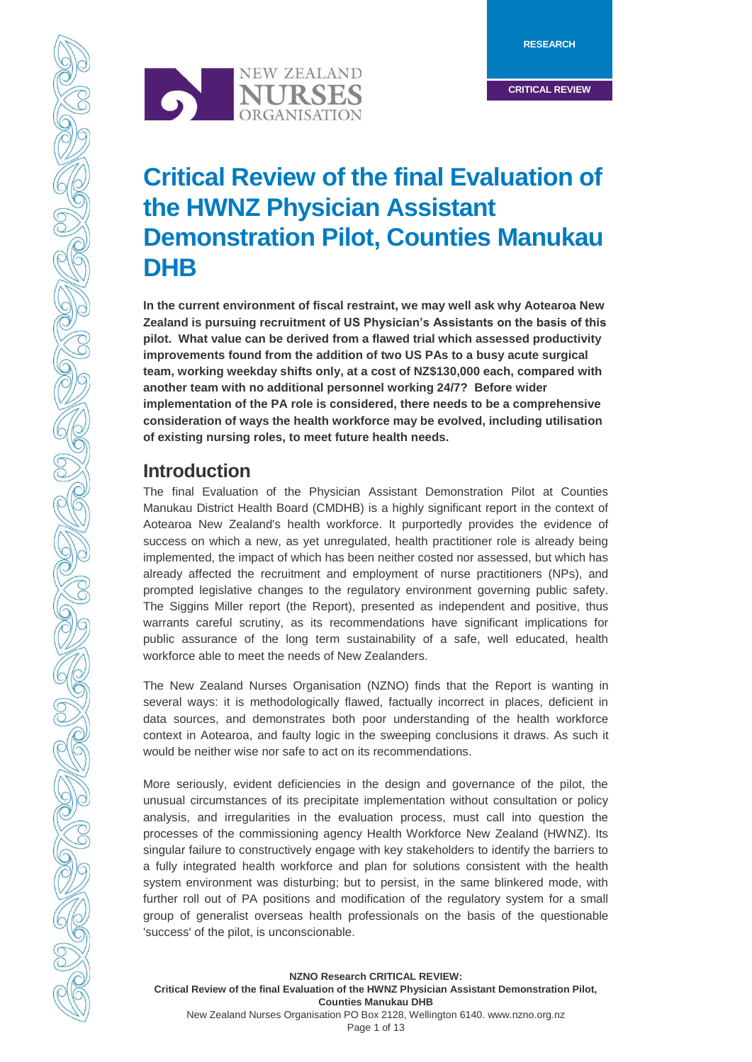**RESEARCH**

**CRITICAL REVIEW**



# **Critical Review of the final Evaluation of the HWNZ Physician Assistant Demonstration Pilot, Counties Manukau DHB**

**In the current environment of fiscal restraint, we may well ask why Aotearoa New Zealand is pursuing recruitment of US Physician's Assistants on the basis of this pilot. What value can be derived from a flawed trial which assessed productivity improvements found from the addition of two US PAs to a busy acute surgical team, working weekday shifts only, at a cost of NZ\$130,000 each, compared with another team with no additional personnel working 24/7? Before wider implementation of the PA role is considered, there needs to be a comprehensive consideration of ways the health workforce may be evolved, including utilisation of existing nursing roles, to meet future health needs.**

## **Introduction**

The final Evaluation of the Physician Assistant Demonstration Pilot at Counties Manukau District Health Board (CMDHB) is a highly significant report in the context of Aotearoa New Zealand's health workforce. It purportedly provides the evidence of success on which a new, as yet unregulated, health practitioner role is already being implemented, the impact of which has been neither costed nor assessed, but which has already affected the recruitment and employment of nurse practitioners (NPs), and prompted legislative changes to the regulatory environment governing public safety. The Siggins Miller report (the Report), presented as independent and positive, thus warrants careful scrutiny, as its recommendations have significant implications for public assurance of the long term sustainability of a safe, well educated, health workforce able to meet the needs of New Zealanders.

The New Zealand Nurses Organisation (NZNO) finds that the Report is wanting in several ways: it is methodologically flawed, factually incorrect in places, deficient in data sources, and demonstrates both poor understanding of the health workforce context in Aotearoa, and faulty logic in the sweeping conclusions it draws. As such it would be neither wise nor safe to act on its recommendations.

More seriously, evident deficiencies in the design and governance of the pilot, the unusual circumstances of its precipitate implementation without consultation or policy analysis, and irregularities in the evaluation process, must call into question the processes of the commissioning agency Health Workforce New Zealand (HWNZ). Its singular failure to constructively engage with key stakeholders to identify the barriers to a fully integrated health workforce and plan for solutions consistent with the health system environment was disturbing; but to persist, in the same blinkered mode, with further roll out of PA positions and modification of the regulatory system for a small group of generalist overseas health professionals on the basis of the questionable 'success' of the pilot, is unconscionable.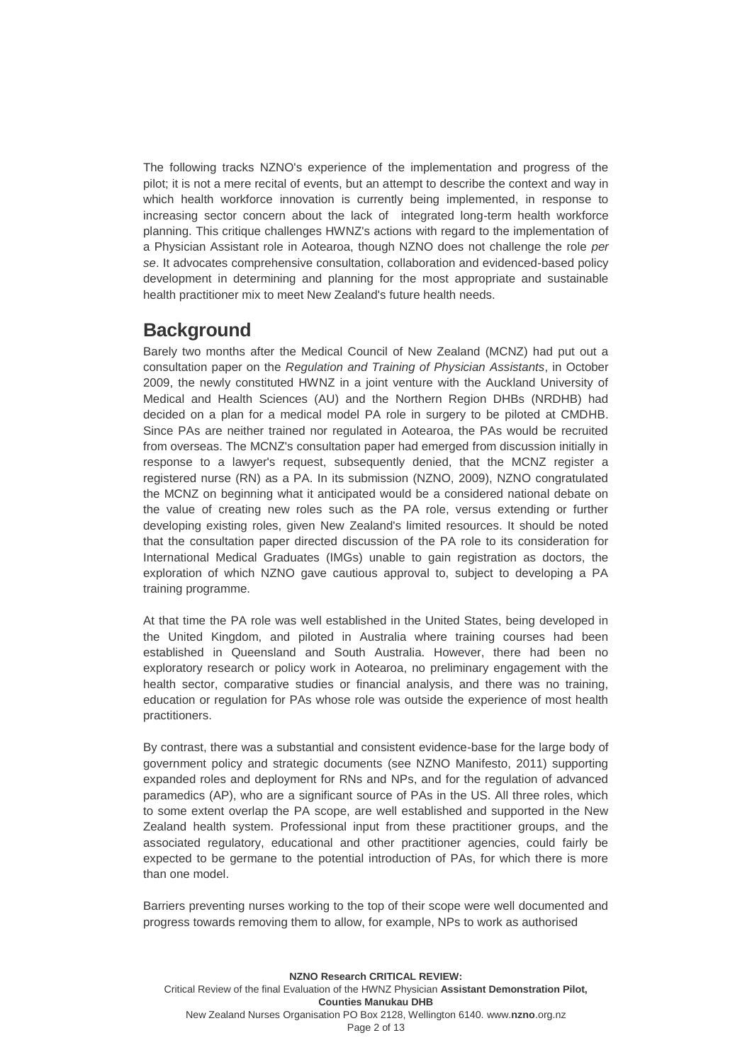The following tracks NZNO's experience of the implementation and progress of the pilot; it is not a mere recital of events, but an attempt to describe the context and way in which health workforce innovation is currently being implemented, in response to increasing sector concern about the lack of integrated long-term health workforce planning. This critique challenges HWNZ's actions with regard to the implementation of a Physician Assistant role in Aotearoa, though NZNO does not challenge the role *per se*. It advocates comprehensive consultation, collaboration and evidenced-based policy development in determining and planning for the most appropriate and sustainable health practitioner mix to meet New Zealand's future health needs.

### **Background**

Barely two months after the Medical Council of New Zealand (MCNZ) had put out a consultation paper on the *Regulation and Training of Physician Assistants*, in October 2009, the newly constituted HWNZ in a joint venture with the Auckland University of Medical and Health Sciences (AU) and the Northern Region DHBs (NRDHB) had decided on a plan for a medical model PA role in surgery to be piloted at CMDHB. Since PAs are neither trained nor regulated in Aotearoa, the PAs would be recruited from overseas. The MCNZ's consultation paper had emerged from discussion initially in response to a lawyer's request, subsequently denied, that the MCNZ register a registered nurse (RN) as a PA. In its submission (NZNO, 2009), NZNO congratulated the MCNZ on beginning what it anticipated would be a considered national debate on the value of creating new roles such as the PA role, versus extending or further developing existing roles, given New Zealand's limited resources. It should be noted that the consultation paper directed discussion of the PA role to its consideration for International Medical Graduates (IMGs) unable to gain registration as doctors, the exploration of which NZNO gave cautious approval to, subject to developing a PA training programme.

At that time the PA role was well established in the United States, being developed in the United Kingdom, and piloted in Australia where training courses had been established in Queensland and South Australia. However, there had been no exploratory research or policy work in Aotearoa, no preliminary engagement with the health sector, comparative studies or financial analysis, and there was no training, education or regulation for PAs whose role was outside the experience of most health practitioners.

By contrast, there was a substantial and consistent evidence-base for the large body of government policy and strategic documents (see NZNO Manifesto, 2011) supporting expanded roles and deployment for RNs and NPs, and for the regulation of advanced paramedics (AP), who are a significant source of PAs in the US. All three roles, which to some extent overlap the PA scope, are well established and supported in the New Zealand health system. Professional input from these practitioner groups, and the associated regulatory, educational and other practitioner agencies, could fairly be expected to be germane to the potential introduction of PAs, for which there is more than one model.

Barriers preventing nurses working to the top of their scope were well documented and progress towards removing them to allow, for example, NPs to work as authorised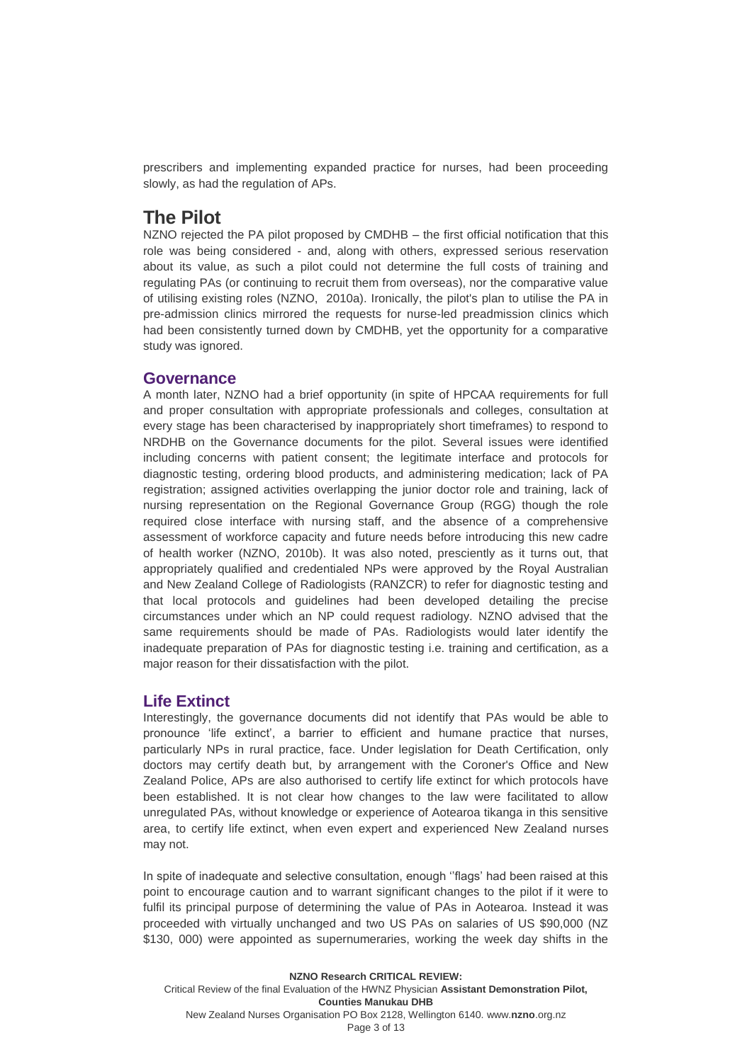prescribers and implementing expanded practice for nurses, had been proceeding slowly, as had the regulation of APs.

#### **The Pilot**

NZNO rejected the PA pilot proposed by CMDHB – the first official notification that this role was being considered - and, along with others, expressed serious reservation about its value, as such a pilot could not determine the full costs of training and regulating PAs (or continuing to recruit them from overseas), nor the comparative value of utilising existing roles (NZNO, 2010a). Ironically, the pilot's plan to utilise the PA in pre-admission clinics mirrored the requests for nurse-led preadmission clinics which had been consistently turned down by CMDHB, yet the opportunity for a comparative study was ignored.

#### **Governance**

A month later, NZNO had a brief opportunity (in spite of HPCAA requirements for full and proper consultation with appropriate professionals and colleges, consultation at every stage has been characterised by inappropriately short timeframes) to respond to NRDHB on the Governance documents for the pilot. Several issues were identified including concerns with patient consent; the legitimate interface and protocols for diagnostic testing, ordering blood products, and administering medication; lack of PA registration; assigned activities overlapping the junior doctor role and training, lack of nursing representation on the Regional Governance Group (RGG) though the role required close interface with nursing staff, and the absence of a comprehensive assessment of workforce capacity and future needs before introducing this new cadre of health worker (NZNO, 2010b). It was also noted, presciently as it turns out, that appropriately qualified and credentialed NPs were approved by the Royal Australian and New Zealand College of Radiologists (RANZCR) to refer for diagnostic testing and that local protocols and guidelines had been developed detailing the precise circumstances under which an NP could request radiology. NZNO advised that the same requirements should be made of PAs. Radiologists would later identify the inadequate preparation of PAs for diagnostic testing i.e. training and certification, as a major reason for their dissatisfaction with the pilot.

#### **Life Extinct**

Interestingly, the governance documents did not identify that PAs would be able to pronounce 'life extinct', a barrier to efficient and humane practice that nurses, particularly NPs in rural practice, face. Under legislation for Death Certification, only doctors may certify death but, by arrangement with the Coroner's Office and New Zealand Police, APs are also authorised to certify life extinct for which protocols have been established. It is not clear how changes to the law were facilitated to allow unregulated PAs, without knowledge or experience of Aotearoa tikanga in this sensitive area, to certify life extinct, when even expert and experienced New Zealand nurses may not.

In spite of inadequate and selective consultation, enough ''flags' had been raised at this point to encourage caution and to warrant significant changes to the pilot if it were to fulfil its principal purpose of determining the value of PAs in Aotearoa. Instead it was proceeded with virtually unchanged and two US PAs on salaries of US \$90,000 (NZ \$130, 000) were appointed as supernumeraries, working the week day shifts in the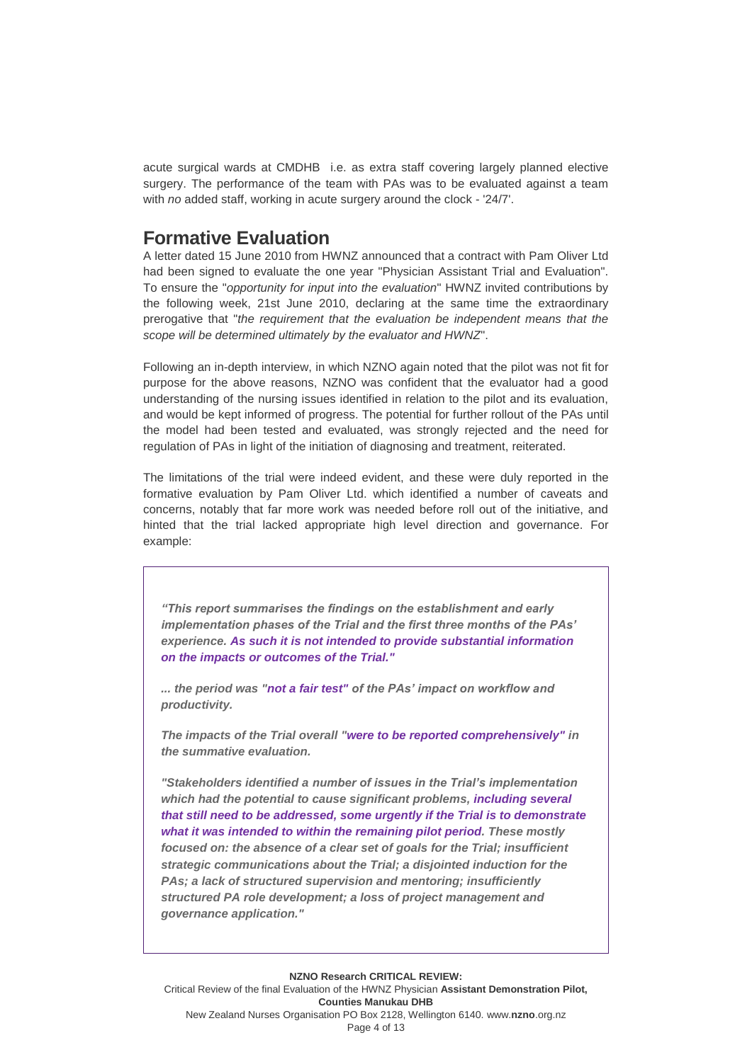acute surgical wards at CMDHB i.e. as extra staff covering largely planned elective surgery. The performance of the team with PAs was to be evaluated against a team with *no* added staff, working in acute surgery around the clock - '24/7'.

#### **Formative Evaluation**

A letter dated 15 June 2010 from HWNZ announced that a contract with Pam Oliver Ltd had been signed to evaluate the one year "Physician Assistant Trial and Evaluation". To ensure the "*opportunity for input into the evaluation*" HWNZ invited contributions by the following week, 21st June 2010, declaring at the same time the extraordinary prerogative that "*the requirement that the evaluation be independent means that the scope will be determined ultimately by the evaluator and HWNZ*".

Following an in-depth interview, in which NZNO again noted that the pilot was not fit for purpose for the above reasons, NZNO was confident that the evaluator had a good understanding of the nursing issues identified in relation to the pilot and its evaluation, and would be kept informed of progress. The potential for further rollout of the PAs until the model had been tested and evaluated, was strongly rejected and the need for regulation of PAs in light of the initiation of diagnosing and treatment, reiterated.

The limitations of the trial were indeed evident, and these were duly reported in the formative evaluation by Pam Oliver Ltd. which identified a number of caveats and concerns, notably that far more work was needed before roll out of the initiative, and hinted that the trial lacked appropriate high level direction and governance. For example:

*"This report summarises the findings on the establishment and early implementation phases of the Trial and the first three months of the PAs' experience. As such it is not intended to provide substantial information on the impacts or outcomes of the Trial."*

*... the period was "not a fair test" of the PAs' impact on workflow and productivity.*

*The impacts of the Trial overall "were to be reported comprehensively" in the summative evaluation.*

*"Stakeholders identified a number of issues in the Trial's implementation which had the potential to cause significant problems, including several that still need to be addressed, some urgently if the Trial is to demonstrate what it was intended to within the remaining pilot period. These mostly focused on: the absence of a clear set of goals for the Trial; insufficient strategic communications about the Trial; a disjointed induction for the PAs; a lack of structured supervision and mentoring; insufficiently structured PA role development; a loss of project management and governance application."*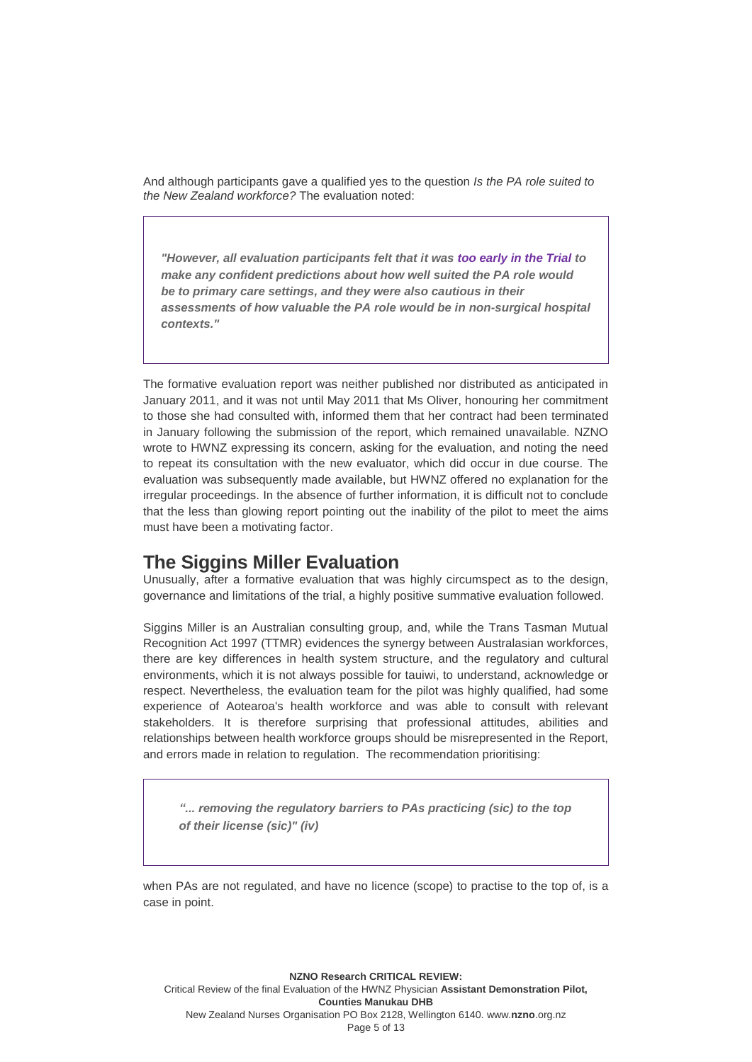And although participants gave a qualified yes to the question *Is the PA role suited to the New Zealand workforce?* The evaluation noted:

*"However, all evaluation participants felt that it was too early in the Trial to make any confident predictions about how well suited the PA role would be to primary care settings, and they were also cautious in their assessments of how valuable the PA role would be in non-surgical hospital contexts."*

The formative evaluation report was neither published nor distributed as anticipated in January 2011, and it was not until May 2011 that Ms Oliver, honouring her commitment to those she had consulted with, informed them that her contract had been terminated in January following the submission of the report, which remained unavailable. NZNO wrote to HWNZ expressing its concern, asking for the evaluation, and noting the need to repeat its consultation with the new evaluator, which did occur in due course. The evaluation was subsequently made available, but HWNZ offered no explanation for the irregular proceedings. In the absence of further information, it is difficult not to conclude that the less than glowing report pointing out the inability of the pilot to meet the aims must have been a motivating factor.

### **The Siggins Miller Evaluation**

Unusually, after a formative evaluation that was highly circumspect as to the design, governance and limitations of the trial, a highly positive summative evaluation followed.

Siggins Miller is an Australian consulting group, and, while the Trans Tasman Mutual Recognition Act 1997 (TTMR) evidences the synergy between Australasian workforces, there are key differences in health system structure, and the regulatory and cultural environments, which it is not always possible for tauiwi, to understand, acknowledge or respect. Nevertheless, the evaluation team for the pilot was highly qualified, had some experience of Aotearoa's health workforce and was able to consult with relevant stakeholders. It is therefore surprising that professional attitudes, abilities and relationships between health workforce groups should be misrepresented in the Report, and errors made in relation to regulation. The recommendation prioritising:

*"... removing the regulatory barriers to PAs practicing (sic) to the top of their license (sic)" (iv)*

when PAs are not regulated, and have no licence (scope) to practise to the top of, is a case in point.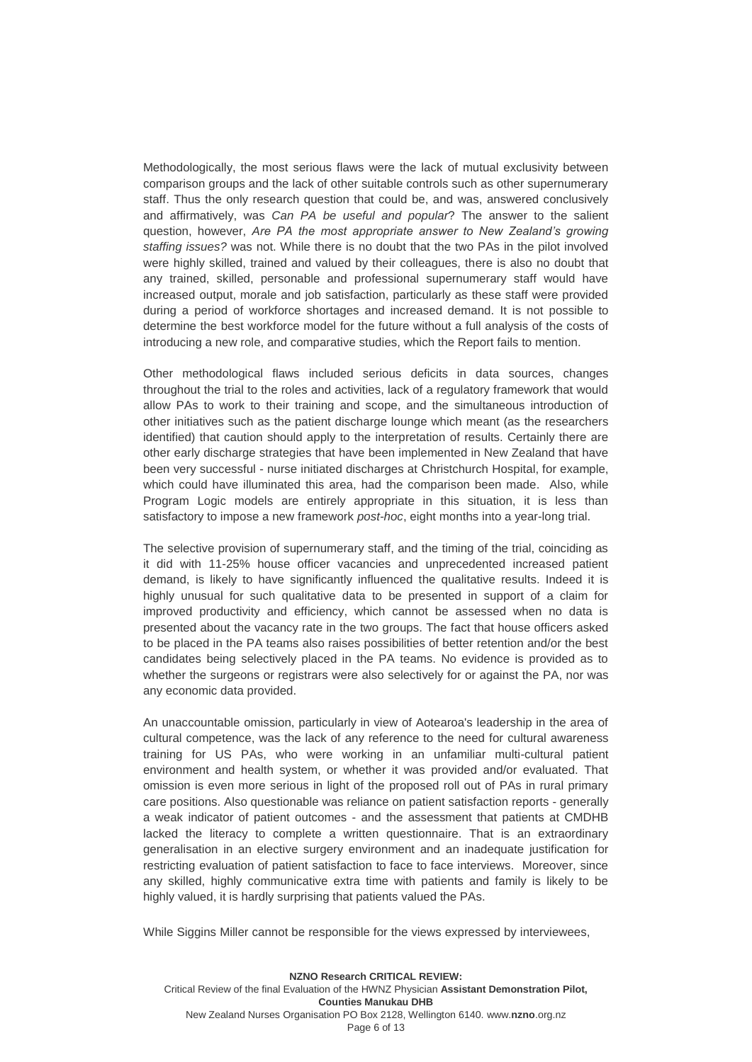Methodologically, the most serious flaws were the lack of mutual exclusivity between comparison groups and the lack of other suitable controls such as other supernumerary staff. Thus the only research question that could be, and was, answered conclusively and affirmatively, was *Can PA be useful and popular*? The answer to the salient question, however, *Are PA the most appropriate answer to New Zealand's growing staffing issues?* was not. While there is no doubt that the two PAs in the pilot involved were highly skilled, trained and valued by their colleagues, there is also no doubt that any trained, skilled, personable and professional supernumerary staff would have increased output, morale and job satisfaction, particularly as these staff were provided during a period of workforce shortages and increased demand. It is not possible to determine the best workforce model for the future without a full analysis of the costs of introducing a new role, and comparative studies, which the Report fails to mention.

Other methodological flaws included serious deficits in data sources, changes throughout the trial to the roles and activities, lack of a regulatory framework that would allow PAs to work to their training and scope, and the simultaneous introduction of other initiatives such as the patient discharge lounge which meant (as the researchers identified) that caution should apply to the interpretation of results. Certainly there are other early discharge strategies that have been implemented in New Zealand that have been very successful - nurse initiated discharges at Christchurch Hospital, for example, which could have illuminated this area, had the comparison been made. Also, while Program Logic models are entirely appropriate in this situation, it is less than satisfactory to impose a new framework *post-hoc*, eight months into a year-long trial.

The selective provision of supernumerary staff, and the timing of the trial, coinciding as it did with 11-25% house officer vacancies and unprecedented increased patient demand, is likely to have significantly influenced the qualitative results. Indeed it is highly unusual for such qualitative data to be presented in support of a claim for improved productivity and efficiency, which cannot be assessed when no data is presented about the vacancy rate in the two groups. The fact that house officers asked to be placed in the PA teams also raises possibilities of better retention and/or the best candidates being selectively placed in the PA teams. No evidence is provided as to whether the surgeons or registrars were also selectively for or against the PA, nor was any economic data provided.

An unaccountable omission, particularly in view of Aotearoa's leadership in the area of cultural competence, was the lack of any reference to the need for cultural awareness training for US PAs, who were working in an unfamiliar multi-cultural patient environment and health system, or whether it was provided and/or evaluated. That omission is even more serious in light of the proposed roll out of PAs in rural primary care positions. Also questionable was reliance on patient satisfaction reports - generally a weak indicator of patient outcomes - and the assessment that patients at CMDHB lacked the literacy to complete a written questionnaire. That is an extraordinary generalisation in an elective surgery environment and an inadequate justification for restricting evaluation of patient satisfaction to face to face interviews. Moreover, since any skilled, highly communicative extra time with patients and family is likely to be highly valued, it is hardly surprising that patients valued the PAs.

While Siggins Miller cannot be responsible for the views expressed by interviewees,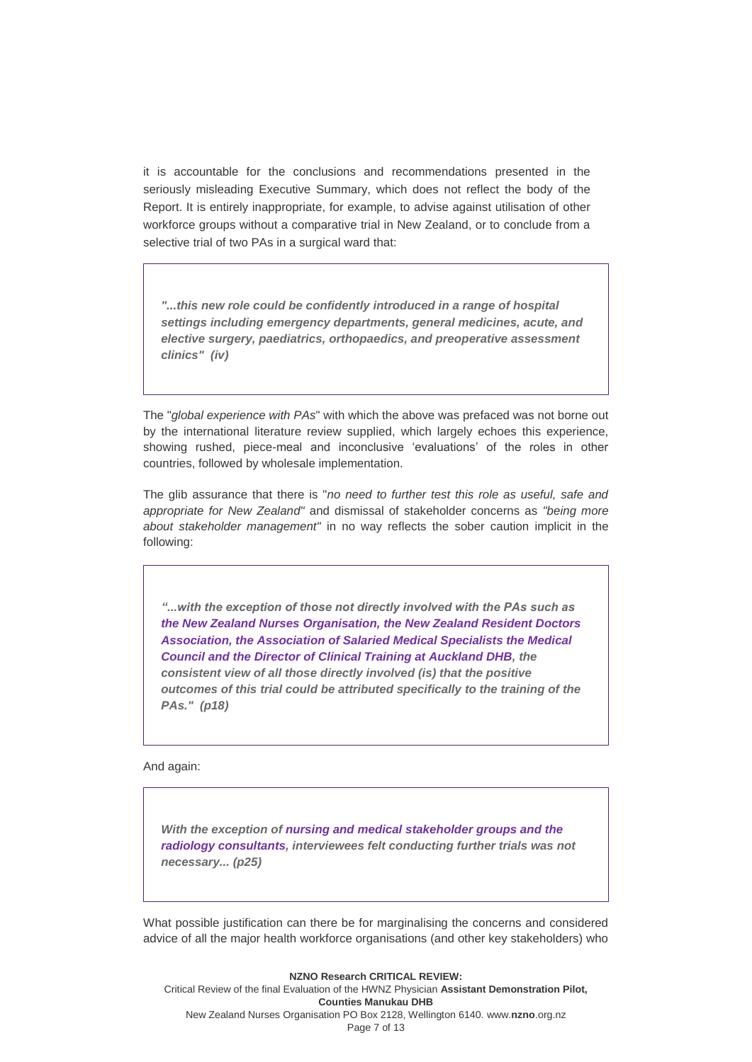it is accountable for the conclusions and recommendations presented in the seriously misleading Executive Summary, which does not reflect the body of the Report. It is entirely inappropriate, for example, to advise against utilisation of other workforce groups without a comparative trial in New Zealand, or to conclude from a selective trial of two PAs in a surgical ward that:

*"...this new role could be confidently introduced in a range of hospital settings including emergency departments, general medicines, acute, and elective surgery, paediatrics, orthopaedics, and preoperative assessment clinics" (iv)*

The "*global experience with PAs*" with which the above was prefaced was not borne out by the international literature review supplied, which largely echoes this experience, showing rushed, piece-meal and inconclusive 'evaluations' of the roles in other countries, followed by wholesale implementation.

The glib assurance that there is "*no need to further test this role as useful, safe and appropriate for New Zealand"* and dismissal of stakeholder concerns as *"being more about stakeholder management"* in no way reflects the sober caution implicit in the following:

*"...with the exception of those not directly involved with the PAs such as the New Zealand Nurses Organisation, the New Zealand Resident Doctors Association, the Association of Salaried Medical Specialists the Medical Council and the Director of Clinical Training at Auckland DHB, the consistent view of all those directly involved (is) that the positive outcomes of this trial could be attributed specifically to the training of the PAs." (p18)* 

And again:

*With the exception of nursing and medical stakeholder groups and the radiology consultants, interviewees felt conducting further trials was not necessary... (p25)*

What possible justification can there be for marginalising the concerns and considered advice of all the major health workforce organisations (and other key stakeholders) who

**NZNO Research CRITICAL REVIEW:** Critical Review of the final Evaluation of the HWNZ Physician **Assistant Demonstration Pilot, Counties Manukau DHB** New Zealand Nurses Organisation PO Box 2128, Wellington 6140. www.**nzno**.org.nz Page 7 of 13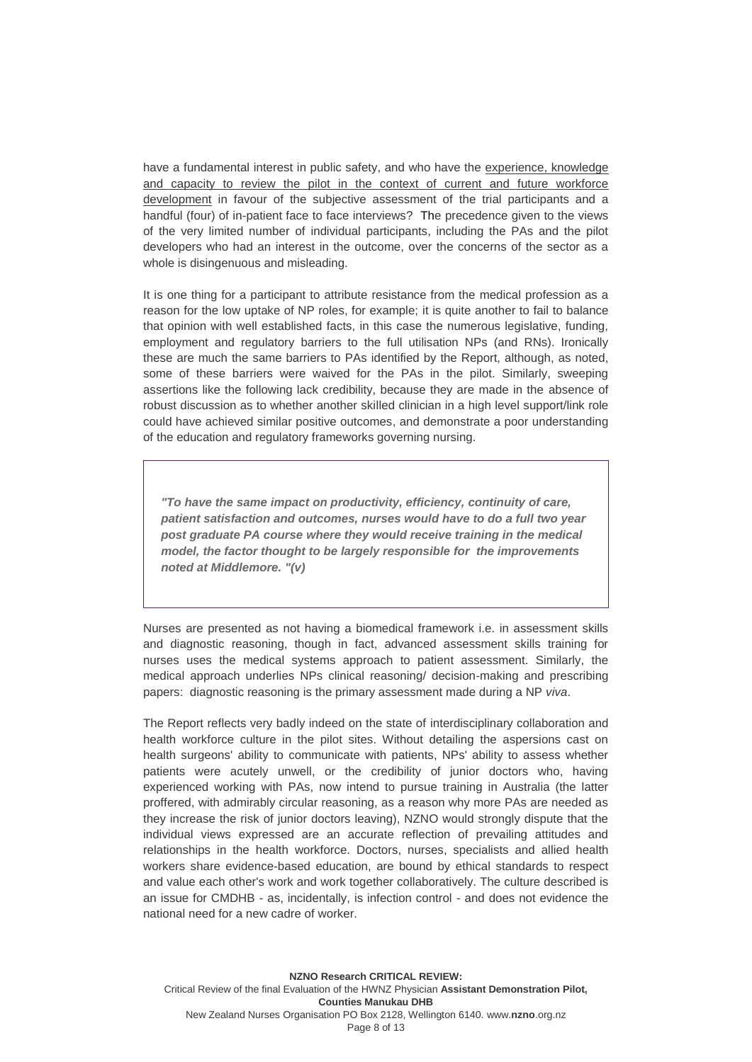have a fundamental interest in public safety, and who have the experience, knowledge and capacity to review the pilot in the context of current and future workforce development in favour of the subjective assessment of the trial participants and a handful (four) of in-patient face to face interviews? The precedence given to the views of the very limited number of individual participants, including the PAs and the pilot developers who had an interest in the outcome, over the concerns of the sector as a whole is disingenuous and misleading.

It is one thing for a participant to attribute resistance from the medical profession as a reason for the low uptake of NP roles, for example; it is quite another to fail to balance that opinion with well established facts, in this case the numerous legislative, funding, employment and regulatory barriers to the full utilisation NPs (and RNs). Ironically these are much the same barriers to PAs identified by the Report, although, as noted, some of these barriers were waived for the PAs in the pilot. Similarly, sweeping assertions like the following lack credibility, because they are made in the absence of robust discussion as to whether another skilled clinician in a high level support/link role could have achieved similar positive outcomes, and demonstrate a poor understanding of the education and regulatory frameworks governing nursing.

*"To have the same impact on productivity, efficiency, continuity of care, patient satisfaction and outcomes, nurses would have to do a full two year post graduate PA course where they would receive training in the medical model, the factor thought to be largely responsible for the improvements noted at Middlemore. "(v)*

Nurses are presented as not having a biomedical framework i.e. in assessment skills and diagnostic reasoning, though in fact, advanced assessment skills training for nurses uses the medical systems approach to patient assessment. Similarly, the medical approach underlies NPs clinical reasoning/ decision-making and prescribing papers: diagnostic reasoning is the primary assessment made during a NP *viva*.

The Report reflects very badly indeed on the state of interdisciplinary collaboration and health workforce culture in the pilot sites. Without detailing the aspersions cast on health surgeons' ability to communicate with patients, NPs' ability to assess whether patients were acutely unwell, or the credibility of junior doctors who, having experienced working with PAs, now intend to pursue training in Australia (the latter proffered, with admirably circular reasoning, as a reason why more PAs are needed as they increase the risk of junior doctors leaving), NZNO would strongly dispute that the individual views expressed are an accurate reflection of prevailing attitudes and relationships in the health workforce. Doctors, nurses, specialists and allied health workers share evidence-based education, are bound by ethical standards to respect and value each other's work and work together collaboratively. The culture described is an issue for CMDHB - as, incidentally, is infection control - and does not evidence the national need for a new cadre of worker.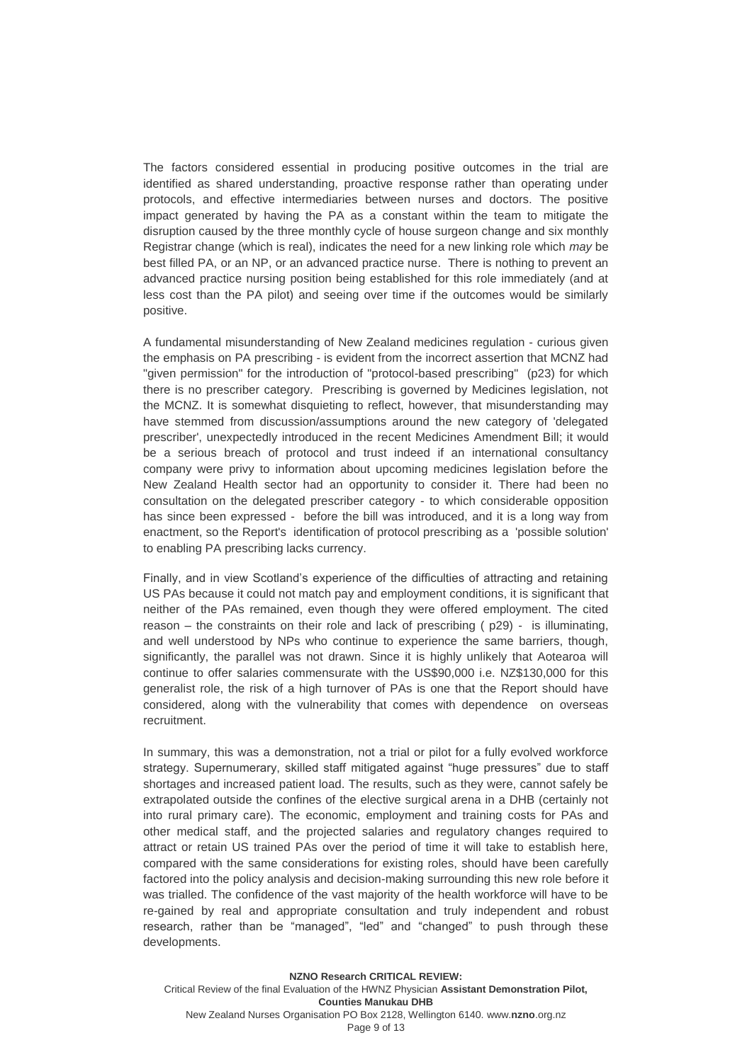The factors considered essential in producing positive outcomes in the trial are identified as shared understanding, proactive response rather than operating under protocols, and effective intermediaries between nurses and doctors. The positive impact generated by having the PA as a constant within the team to mitigate the disruption caused by the three monthly cycle of house surgeon change and six monthly Registrar change (which is real), indicates the need for a new linking role which *may* be best filled PA, or an NP, or an advanced practice nurse. There is nothing to prevent an advanced practice nursing position being established for this role immediately (and at less cost than the PA pilot) and seeing over time if the outcomes would be similarly positive.

A fundamental misunderstanding of New Zealand medicines regulation - curious given the emphasis on PA prescribing - is evident from the incorrect assertion that MCNZ had "given permission" for the introduction of "protocol-based prescribing" (p23) for which there is no prescriber category. Prescribing is governed by Medicines legislation, not the MCNZ. It is somewhat disquieting to reflect, however, that misunderstanding may have stemmed from discussion/assumptions around the new category of 'delegated prescriber', unexpectedly introduced in the recent Medicines Amendment Bill; it would be a serious breach of protocol and trust indeed if an international consultancy company were privy to information about upcoming medicines legislation before the New Zealand Health sector had an opportunity to consider it. There had been no consultation on the delegated prescriber category - to which considerable opposition has since been expressed - before the bill was introduced, and it is a long way from enactment, so the Report's identification of protocol prescribing as a 'possible solution' to enabling PA prescribing lacks currency.

Finally, and in view Scotland's experience of the difficulties of attracting and retaining US PAs because it could not match pay and employment conditions, it is significant that neither of the PAs remained, even though they were offered employment. The cited reason – the constraints on their role and lack of prescribing ( p29) - is illuminating, and well understood by NPs who continue to experience the same barriers, though, significantly, the parallel was not drawn. Since it is highly unlikely that Aotearoa will continue to offer salaries commensurate with the US\$90,000 i.e. NZ\$130,000 for this generalist role, the risk of a high turnover of PAs is one that the Report should have considered, along with the vulnerability that comes with dependence on overseas recruitment.

In summary, this was a demonstration, not a trial or pilot for a fully evolved workforce strategy. Supernumerary, skilled staff mitigated against "huge pressures" due to staff shortages and increased patient load. The results, such as they were, cannot safely be extrapolated outside the confines of the elective surgical arena in a DHB (certainly not into rural primary care). The economic, employment and training costs for PAs and other medical staff, and the projected salaries and regulatory changes required to attract or retain US trained PAs over the period of time it will take to establish here, compared with the same considerations for existing roles, should have been carefully factored into the policy analysis and decision-making surrounding this new role before it was trialled. The confidence of the vast majority of the health workforce will have to be re-gained by real and appropriate consultation and truly independent and robust research, rather than be "managed", "led" and "changed" to push through these developments.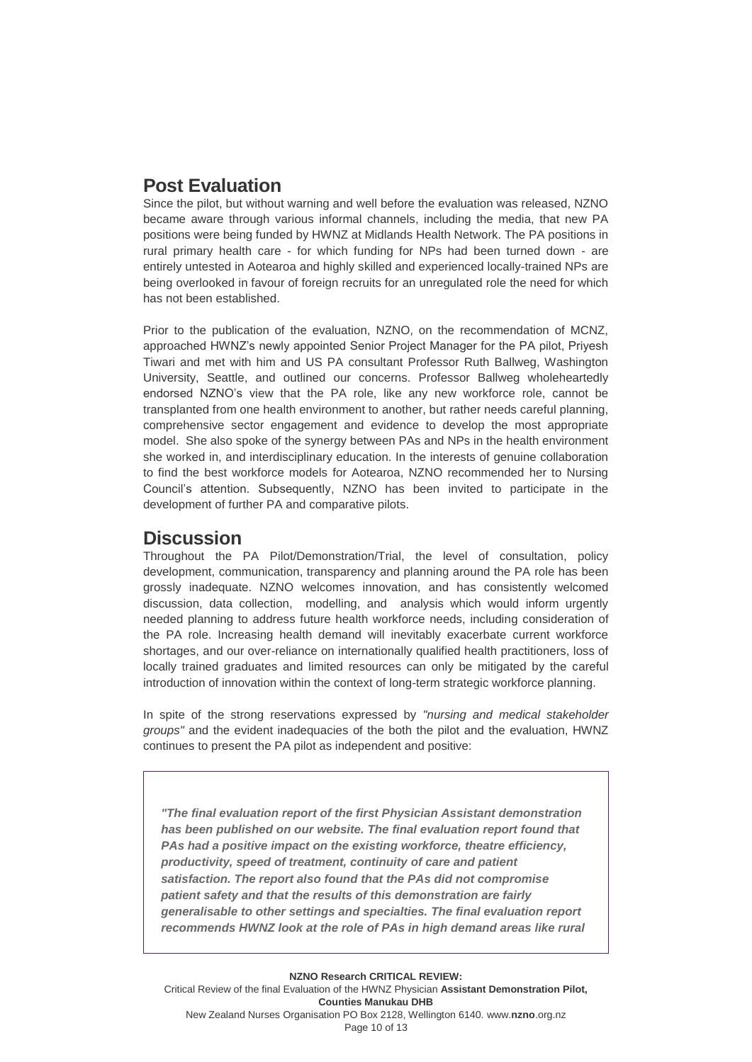### **Post Evaluation**

Since the pilot, but without warning and well before the evaluation was released, NZNO became aware through various informal channels, including the media, that new PA positions were being funded by HWNZ at Midlands Health Network. The PA positions in rural primary health care - for which funding for NPs had been turned down - are entirely untested in Aotearoa and highly skilled and experienced locally-trained NPs are being overlooked in favour of foreign recruits for an unregulated role the need for which has not been established.

Prior to the publication of the evaluation, NZNO, on the recommendation of MCNZ, approached HWNZ's newly appointed Senior Project Manager for the PA pilot, Priyesh Tiwari and met with him and US PA consultant Professor Ruth Ballweg, Washington University, Seattle, and outlined our concerns. Professor Ballweg wholeheartedly endorsed NZNO's view that the PA role, like any new workforce role, cannot be transplanted from one health environment to another, but rather needs careful planning, comprehensive sector engagement and evidence to develop the most appropriate model. She also spoke of the synergy between PAs and NPs in the health environment she worked in, and interdisciplinary education. In the interests of genuine collaboration to find the best workforce models for Aotearoa, NZNO recommended her to Nursing Council's attention. Subsequently, NZNO has been invited to participate in the development of further PA and comparative pilots.

### **Discussion**

Throughout the PA Pilot/Demonstration/Trial, the level of consultation, policy development, communication, transparency and planning around the PA role has been grossly inadequate. NZNO welcomes innovation, and has consistently welcomed discussion, data collection, modelling, and analysis which would inform urgently needed planning to address future health workforce needs, including consideration of the PA role. Increasing health demand will inevitably exacerbate current workforce shortages, and our over-reliance on internationally qualified health practitioners, loss of locally trained graduates and limited resources can only be mitigated by the careful introduction of innovation within the context of long-term strategic workforce planning.

In spite of the strong reservations expressed by *"nursing and medical stakeholder groups"* and the evident inadequacies of the both the pilot and the evaluation, HWNZ continues to present the PA pilot as independent and positive:

*"The final evaluation report of the first Physician Assistant demonstration has been published on our website. The final evaluation report found that PAs had a positive impact on the existing workforce, theatre efficiency, productivity, speed of treatment, continuity of care and patient satisfaction. The report also found that the PAs did not compromise patient safety and that the results of this demonstration are fairly generalisable to other settings and specialties. The final evaluation report recommends HWNZ look at the role of PAs in high demand areas like rural*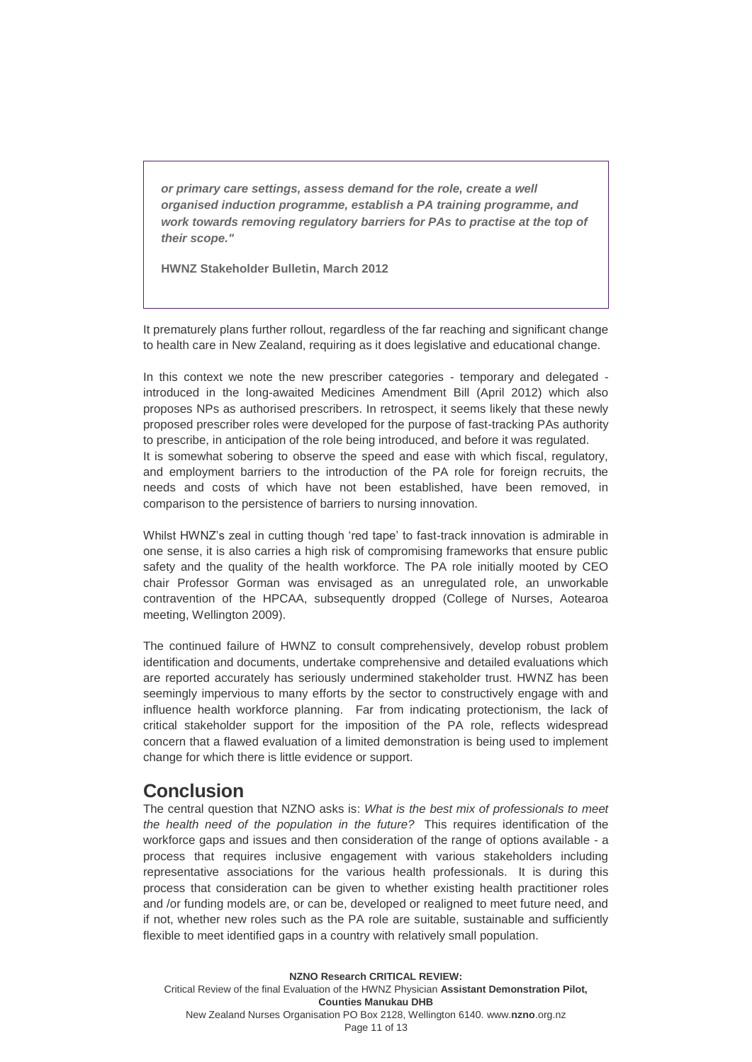*or primary care settings, assess demand for the role, create a well organised induction programme, establish a PA training programme, and work towards removing regulatory barriers for PAs to practise at the top of their scope."*

**HWNZ Stakeholder Bulletin, March 2012**

It prematurely plans further rollout, regardless of the far reaching and significant change to health care in New Zealand, requiring as it does legislative and educational change.

In this context we note the new prescriber categories - temporary and delegated introduced in the long-awaited Medicines Amendment Bill (April 2012) which also proposes NPs as authorised prescribers. In retrospect, it seems likely that these newly proposed prescriber roles were developed for the purpose of fast-tracking PAs authority to prescribe, in anticipation of the role being introduced, and before it was regulated. It is somewhat sobering to observe the speed and ease with which fiscal, regulatory, and employment barriers to the introduction of the PA role for foreign recruits, the needs and costs of which have not been established, have been removed, in comparison to the persistence of barriers to nursing innovation.

Whilst HWNZ's zeal in cutting though 'red tape' to fast-track innovation is admirable in one sense, it is also carries a high risk of compromising frameworks that ensure public safety and the quality of the health workforce. The PA role initially mooted by CEO chair Professor Gorman was envisaged as an unregulated role, an unworkable contravention of the HPCAA, subsequently dropped (College of Nurses, Aotearoa meeting, Wellington 2009).

The continued failure of HWNZ to consult comprehensively, develop robust problem identification and documents, undertake comprehensive and detailed evaluations which are reported accurately has seriously undermined stakeholder trust. HWNZ has been seemingly impervious to many efforts by the sector to constructively engage with and influence health workforce planning. Far from indicating protectionism, the lack of critical stakeholder support for the imposition of the PA role, reflects widespread concern that a flawed evaluation of a limited demonstration is being used to implement change for which there is little evidence or support.

#### **Conclusion**

The central question that NZNO asks is: *What is the best mix of professionals to meet the health need of the population in the future?* This requires identification of the workforce gaps and issues and then consideration of the range of options available - a process that requires inclusive engagement with various stakeholders including representative associations for the various health professionals. It is during this process that consideration can be given to whether existing health practitioner roles and /or funding models are, or can be, developed or realigned to meet future need, and if not, whether new roles such as the PA role are suitable, sustainable and sufficiently flexible to meet identified gaps in a country with relatively small population.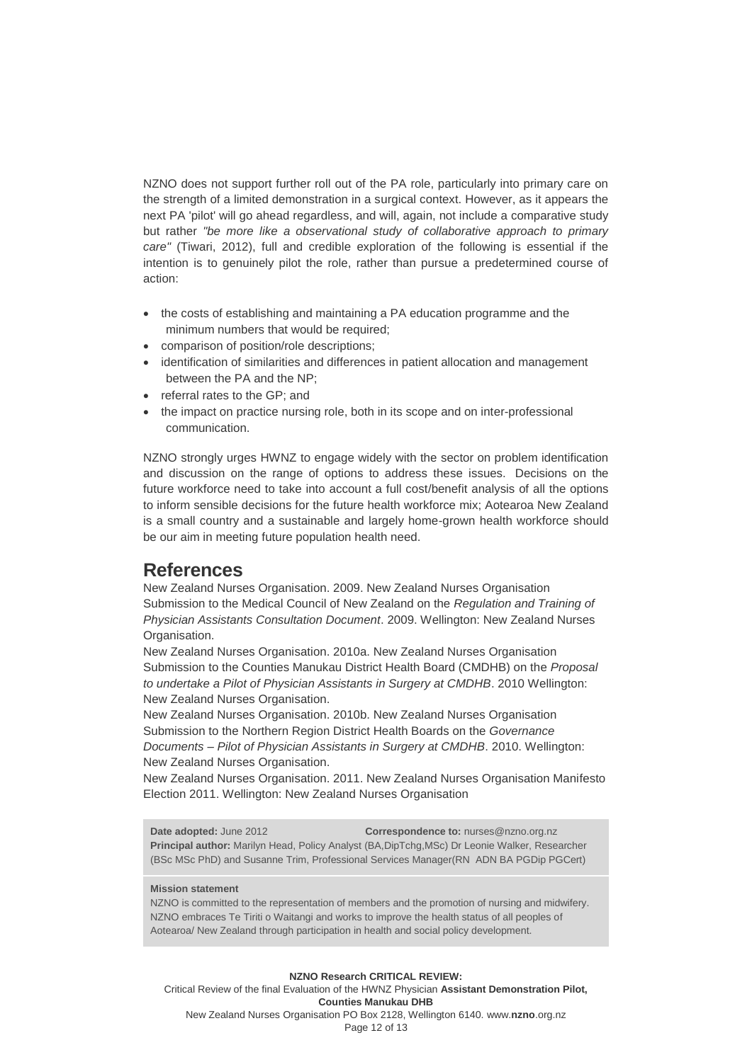NZNO does not support further roll out of the PA role, particularly into primary care on the strength of a limited demonstration in a surgical context. However, as it appears the next PA 'pilot' will go ahead regardless, and will, again, not include a comparative study but rather *"be more like a observational study of collaborative approach to primary care"* (Tiwari, 2012), full and credible exploration of the following is essential if the intention is to genuinely pilot the role, rather than pursue a predetermined course of action:

- the costs of establishing and maintaining a PA education programme and the minimum numbers that would be required;
- comparison of position/role descriptions;
- identification of similarities and differences in patient allocation and management between the PA and the NP;
- referral rates to the GP: and
- the impact on practice nursing role, both in its scope and on inter-professional communication.

NZNO strongly urges HWNZ to engage widely with the sector on problem identification and discussion on the range of options to address these issues. Decisions on the future workforce need to take into account a full cost/benefit analysis of all the options to inform sensible decisions for the future health workforce mix; Aotearoa New Zealand is a small country and a sustainable and largely home-grown health workforce should be our aim in meeting future population health need.

#### **References**

New Zealand Nurses Organisation. 2009. New Zealand Nurses Organisation Submission to the Medical Council of New Zealand on the *[Regulation and Training of](http://www.nzno.org.nz/Portals/0/Docs/Activities/Submissions/2009-10%20MCNZ%20on%20Physician%20Assistant%20Regulation%20Training%20NZNOSub.pdf)  [Physician Assistants Consultation Document](http://www.nzno.org.nz/Portals/0/Docs/Activities/Submissions/2009-10%20MCNZ%20on%20Physician%20Assistant%20Regulation%20Training%20NZNOSub.pdf)*. 2009. Wellington: New Zealand Nurses Organisation.

New Zealand Nurses Organisation. 2010a. New Zealand Nurses Organisation Submission to the Counties Manukau District Health Board (CMDHB) on the *Proposal to undertake a Pilot of Physician Assistants in Surgery at CMDHB*. 2010 Wellington: New Zealand Nurses Organisation.

New Zealand Nurses Organisation. 2010b. New Zealand Nurses Organisation Submission to the Northern Region District Health Boards on the *Governance Documents – Pilot of Physician Assistants in Surgery at CMDHB*. 2010. Wellington: New Zealand Nurses Organisation.

New Zealand Nurses Organisation. 2011. New Zealand Nurses Organisation Manifesto Election 2011. Wellington: New Zealand Nurses Organisation

**Date adopted:** June 2012 **Correspondence to:** nurses@nzno.org.nz **Principal author:** Marilyn Head, Policy Analyst (BA,DipTchg,MSc) Dr Leonie Walker, Researcher (BSc MSc PhD) and Susanne Trim, Professional Services Manager(RN ADN BA PGDip PGCert)

#### **Mission statement**

NZNO is committed to the representation of members and the promotion of nursing and midwifery. NZNO embraces Te Tiriti o Waitangi and works to improve the health status of all peoples of Aotearoa/ New Zealand through participation in health and social policy development.

**NZNO Research CRITICAL REVIEW:** Critical Review of the final Evaluation of the HWNZ Physician **Assistant Demonstration Pilot, Counties Manukau DHB** New Zealand Nurses Organisation PO Box 2128, Wellington 6140. www.**nzno**.org.nz Page 12 of 13